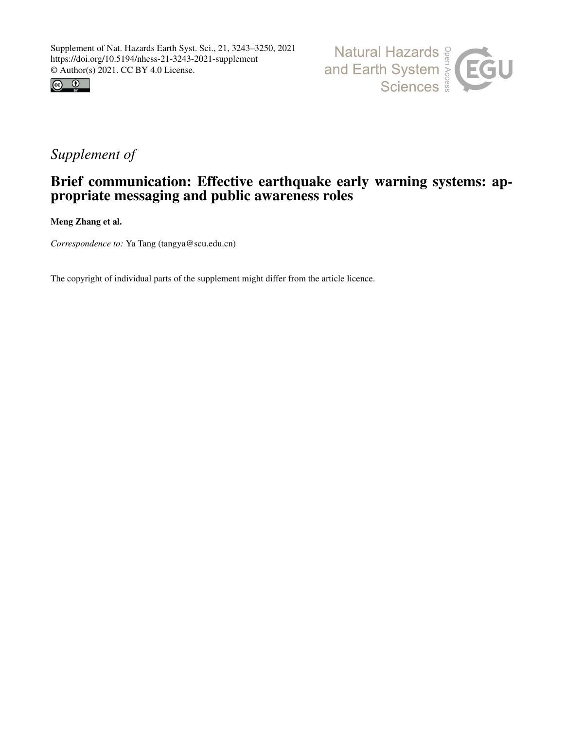



## *Supplement of*

## Brief communication: Effective earthquake early warning systems: appropriate messaging and public awareness roles

Meng Zhang et al.

*Correspondence to:* Ya Tang (tangya@scu.edu.cn)

The copyright of individual parts of the supplement might differ from the article licence.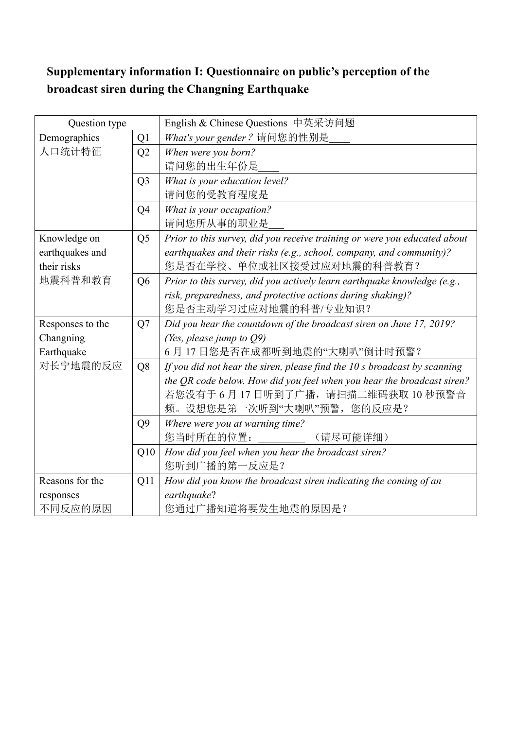## **Supplementary information I: Questionnaire on public's perception of the broadcast siren during the Changning Earthquake**

| Question type    |                | English & Chinese Questions 中英采访问题                                        |  |  |  |  |  |  |
|------------------|----------------|---------------------------------------------------------------------------|--|--|--|--|--|--|
| Demographics     | Q <sub>1</sub> | What's your gender? 请问您的性别是                                               |  |  |  |  |  |  |
| 人口统计特征           | Q2             | When were you born?                                                       |  |  |  |  |  |  |
|                  |                | 请问您的出生年份是                                                                 |  |  |  |  |  |  |
|                  | Q <sub>3</sub> | What is your education level?                                             |  |  |  |  |  |  |
|                  |                | 请问您的受教育程度是                                                                |  |  |  |  |  |  |
|                  | Q <sub>4</sub> | What is your occupation?                                                  |  |  |  |  |  |  |
|                  |                | 请问您所从事的职业是                                                                |  |  |  |  |  |  |
| Knowledge on     | Q <sub>5</sub> | Prior to this survey, did you receive training or were you educated about |  |  |  |  |  |  |
| earthquakes and  |                | earthquakes and their risks (e.g., school, company, and community)?       |  |  |  |  |  |  |
| their risks      |                | 您是否在学校、单位或社区接受过应对地震的科普教育?                                                 |  |  |  |  |  |  |
| 地震科普和教育          | Q <sub>6</sub> | Prior to this survey, did you actively learn earthquake knowledge (e.g.,  |  |  |  |  |  |  |
|                  |                | risk, preparedness, and protective actions during shaking)?               |  |  |  |  |  |  |
|                  |                | 您是否主动学习过应对地震的科普/专业知识?                                                     |  |  |  |  |  |  |
| Responses to the | Q7             | Did you hear the countdown of the broadcast siren on June 17, 2019?       |  |  |  |  |  |  |
| Changning        |                | (Yes, please jump to $Q9$ )                                               |  |  |  |  |  |  |
| Earthquake       |                | 6月17日您是否在成都听到地震的"大喇叭"倒计时预警?                                               |  |  |  |  |  |  |
| 对长宁地震的反应         | Q8             | If you did not hear the siren, please find the 10 s broadcast by scanning |  |  |  |  |  |  |
|                  |                | the QR code below. How did you feel when you hear the broadcast siren?    |  |  |  |  |  |  |
|                  |                | 若您没有于6月17日听到了广播,请扫描二维码获取10秒预警音                                            |  |  |  |  |  |  |
|                  |                | 频。设想您是第一次听到"大喇叭"预警, 您的反应是?                                                |  |  |  |  |  |  |
|                  | Q <sub>9</sub> | Where were you at warning time?                                           |  |  |  |  |  |  |
|                  |                | 您当时所在的位置:<br>( 请尽可能详细 )                                                   |  |  |  |  |  |  |
|                  | Q10            | How did you feel when you hear the broadcast siren?                       |  |  |  |  |  |  |
|                  |                | 您听到广播的第一反应是?                                                              |  |  |  |  |  |  |
| Reasons for the  | Q11            | How did you know the broadcast siren indicating the coming of an          |  |  |  |  |  |  |
| responses        |                | earthquake?                                                               |  |  |  |  |  |  |
| 不同反应的原因          |                | 您通过广播知道将要发生地震的原因是?                                                        |  |  |  |  |  |  |